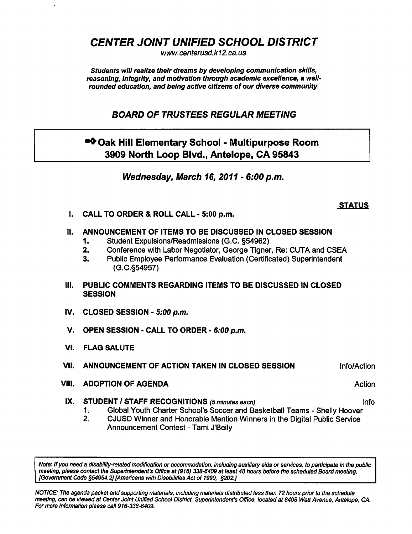CENTER JOINT UNIFIED SCHOOL DISTRICT

www. centerusd. k12. ca. us

Students will realize their dreams by developing communication skills, reasoning, integrity, and motivation through academic excellence, a wellrounded education, and being active citizens of our diverse community.

BOARD OF TRUSTEES REGULAR MEETING

## ●◆ Oak Hill Elementary School - Multipurpose Room 3909 North Loop Blvd., Antelope, CA 95843

Wednesday, March 16, 2011 - 6:00 p.m.

## **STATUS**

I. CALL TO ORDER & ROLL CALL - 5:00 p.m.

## II. ANNOUNCEMENT OF ITEMS TO BE DISCUSSED IN CLOSED SESSION

- 1. Student Expulsions/Readmissions (G.C. §54962)
- 2. Conference with Labor Negotiator, George Tigner, Re: CUTA and CSEA
- 3. Public Employee Performance Evaluation (Certificated) Superintendent (G.C.§54957)
- III. PUBLIC COMMENTS REGARDING ITEMS TO BE DISCUSSED IN CLOSED **SESSION**
- IV. CLOSED SESSION 5:00 p.m.
- V. OPEN SESSION CALL TO ORDER 6:00 p.m.
- VI. FLAG SALUTE
- VII. ANNOUNCEMENT OF ACTION TAKEN IN CLOSED SESSION **Info/Action**
- VIII. ADOPTION OF AGENDA Action Action Action Action Action Action
- IX. STUDENT / STAFF RECOGNITIONS (5 minutes each) Info
	- 1. Global Youth Charter School's Soccer and Basketball Teams Shelly Hoover
	- 2. CJUSD Winner and Honorable Mention Winners in the Digital Public Service Announcement Contest - Tami J'Beily

Note: If you need a disability-related modification or accommodation, including auxiliary aids or services, to participate in the public meeting, please contact the Superintendent's Office at (916) 338-6409 at least 48 hours before the scheduled Board meeting. [Government Code §54954.2] [Americans with Disabilities Act of 1990, §202.]

NOTICE: The agenda packet and supporting materials, inciuding materials distributed less than 72 hours prior to the schedule meeting, can be viewed at Center Joint Unified School District, Superintendent's Office, located at 8408 Watt Avenue, Antelope, CA. For more information please call 916-338-6409.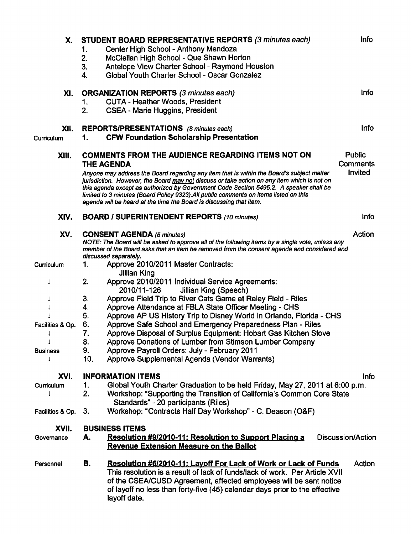| Х.                                            | STUDENT BOARD REPRESENTATIVE REPORTS (3 minutes each)<br>Center High School - Anthony Mendoza<br>1.<br>McClellan High School - Que Shawn Horton<br>2.<br>Antelope View Charter School - Raymond Houston<br>3.<br>Global Youth Charter School - Oscar Gonzalez<br>4.                                                                                                                                                                                                                                                                                                                                                                             | Info                                        |  |
|-----------------------------------------------|-------------------------------------------------------------------------------------------------------------------------------------------------------------------------------------------------------------------------------------------------------------------------------------------------------------------------------------------------------------------------------------------------------------------------------------------------------------------------------------------------------------------------------------------------------------------------------------------------------------------------------------------------|---------------------------------------------|--|
| XI.                                           | <b>ORGANIZATION REPORTS (3 minutes each)</b><br><b>CUTA - Heather Woods, President</b><br>1.<br>2.<br><b>CSEA - Marie Huggins, President</b>                                                                                                                                                                                                                                                                                                                                                                                                                                                                                                    | <b>Info</b>                                 |  |
| XII.<br>Curriculum                            | REPORTS/PRESENTATIONS (8 minutes each)<br><b>CFW Foundation Scholarship Presentation</b><br>1.                                                                                                                                                                                                                                                                                                                                                                                                                                                                                                                                                  | Info                                        |  |
| XIII.                                         | <b>COMMENTS FROM THE AUDIENCE REGARDING ITEMS NOT ON</b><br><b>THE AGENDA</b><br>Anyone may address the Board regarding any item that is within the Board's subject matter<br>jurisdiction. However, the Board may not discuss or take action on any item which is not on<br>this agenda except as authorized by Government Code Section 5495.2. A speaker shall be<br>limited to 3 minutes (Board Policy 9323). All public comments on items listed on this<br>agenda will be heard at the time the Board is discussing that item.                                                                                                             | <b>Public</b><br><b>Comments</b><br>Invited |  |
| XIV.                                          | <b>BOARD / SUPERINTENDENT REPORTS (10 minutes)</b>                                                                                                                                                                                                                                                                                                                                                                                                                                                                                                                                                                                              | <b>Info</b>                                 |  |
| XV.                                           | Action<br><b>CONSENT AGENDA (5 minutes)</b><br>NOTE: The Board will be asked to approve all of the following items by a single vote, unless any<br>member of the Board asks that an item be removed from the consent agenda and considered and<br>discussed separately.                                                                                                                                                                                                                                                                                                                                                                         |                                             |  |
| Curriculum                                    | Approve 2010/2011 Master Contracts:<br>1.<br><b>Jillian King</b>                                                                                                                                                                                                                                                                                                                                                                                                                                                                                                                                                                                |                                             |  |
| Ţ<br>Facilities & Op.<br>1<br><b>Business</b> | 2.<br>Approve 2010/2011 Individual Service Agreements:<br>2010/11-126<br>Jillian King (Speech)<br>Approve Field Trip to River Cats Game at Raley Field - Riles<br>3.<br>Approve Attendance at FBLA State Officer Meeting - CHS<br>4.<br>5.<br>Approve AP US History Trip to Disney World in Orlando, Florida - CHS<br>Approve Safe School and Emergency Preparedness Plan - Riles<br>6.<br>7.<br>Approve Disposal of Surplus Equipment: Hobart Gas Kitchen Stove<br>8.<br>Approve Donations of Lumber from Stimson Lumber Company<br>9.<br>Approve Payroll Orders: July - February 2011<br>10.<br>Approve Supplemental Agenda (Vendor Warrants) |                                             |  |
| XVI.                                          | <b>INFORMATION ITEMS</b>                                                                                                                                                                                                                                                                                                                                                                                                                                                                                                                                                                                                                        | <b>Info</b>                                 |  |
| Curriculum                                    | Global Youth Charter Graduation to be held Friday, May 27, 2011 at 6:00 p.m.<br>1.<br>2.<br>Workshop: "Supporting the Transition of California's Common Core State<br>Standards" - 20 participants (Riles)                                                                                                                                                                                                                                                                                                                                                                                                                                      |                                             |  |
| Facilities & Op.                              | Workshop: "Contracts Half Day Workshop" - C. Deason (O&F)<br>3.                                                                                                                                                                                                                                                                                                                                                                                                                                                                                                                                                                                 |                                             |  |
| XVII.<br>Governance                           | <b>BUSINESS ITEMS</b><br>Resolution #9/2010-11: Resolution to Support Placing a<br>A.<br><b>Revenue Extension Measure on the Ballot</b>                                                                                                                                                                                                                                                                                                                                                                                                                                                                                                         | Discussion/Action                           |  |
| Personnel                                     | В.<br>Resolution #6/2010-11: Layoff For Lack of Work or Lack of Funds<br>This resolution is a result of lack of funds/lack of work. Per Article XVII<br>of the CSEA/CUSD Agreement, affected employees will be sent notice<br>of layoff no less than forty-five (45) calendar days prior to the effective<br>layoff date.                                                                                                                                                                                                                                                                                                                       | Action                                      |  |